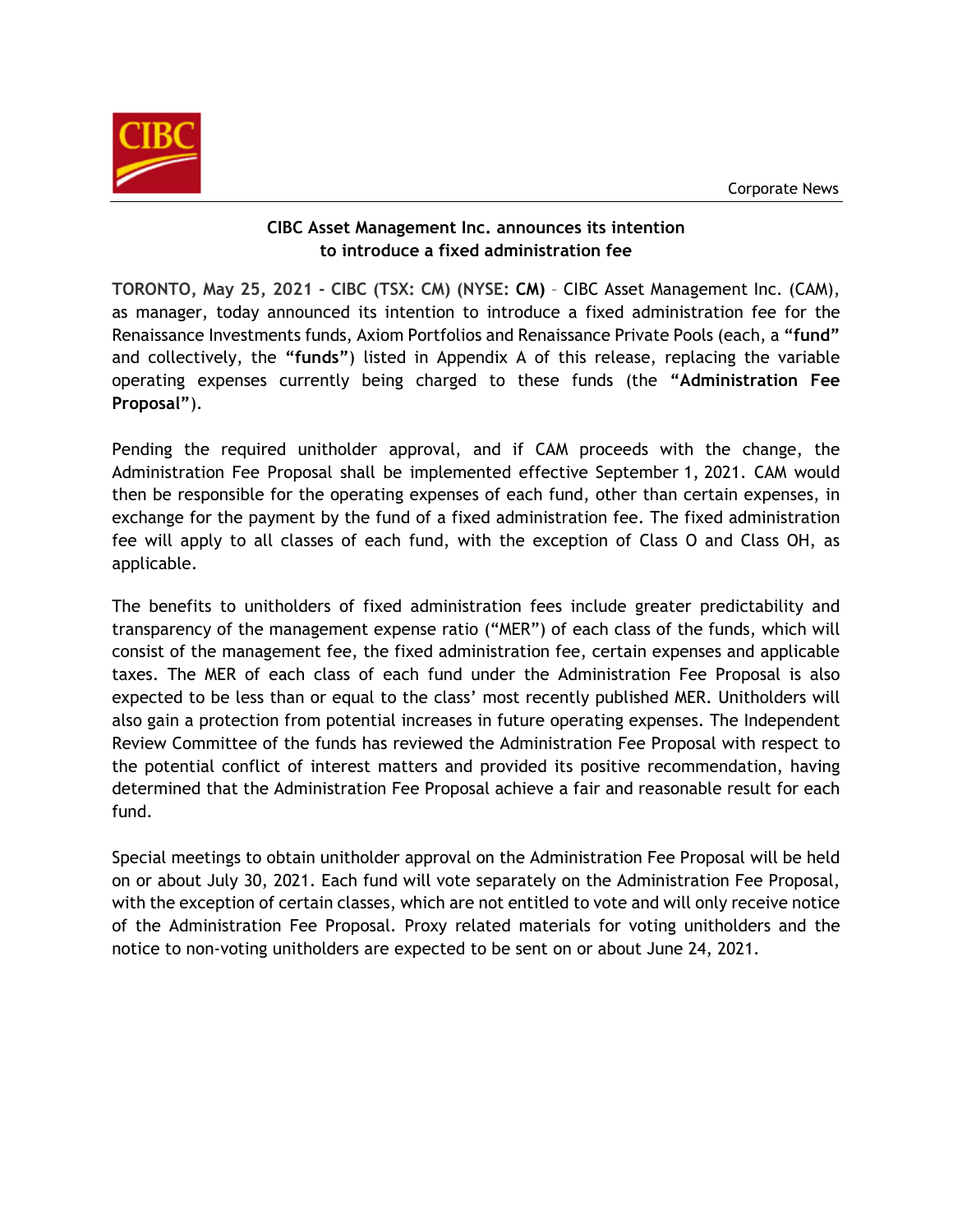

### **CIBC Asset Management Inc. announces its intention to introduce a fixed administration fee**

**TORONTO, May 25, 2021 - CIBC (TSX: CM) (NYSE: [CM\)](http://studio-5.financialcontent.com/prnews?Page=Quote&Ticker=CM)** – CIBC Asset Management Inc. (CAM), as manager, today announced its intention to introduce a fixed administration fee for the Renaissance Investments funds, Axiom Portfolios and Renaissance Private Pools (each, a **"fund"** and collectively, the **"funds"**) listed in Appendix A of this release, replacing the variable operating expenses currently being charged to these funds (the **"Administration Fee Proposal"**).

Pending the required unitholder approval, and if CAM proceeds with the change, the Administration Fee Proposal shall be implemented effective September 1, 2021. CAM would then be responsible for the operating expenses of each fund, other than certain expenses, in exchange for the payment by the fund of a fixed administration fee. The fixed administration fee will apply to all classes of each fund, with the exception of Class O and Class OH, as applicable.

The benefits to unitholders of fixed administration fees include greater predictability and transparency of the management expense ratio ("MER") of each class of the funds, which will consist of the management fee, the fixed administration fee, certain expenses and applicable taxes. The MER of each class of each fund under the Administration Fee Proposal is also expected to be less than or equal to the class' most recently published MER. Unitholders will also gain a protection from potential increases in future operating expenses. The Independent Review Committee of the funds has reviewed the Administration Fee Proposal with respect to the potential conflict of interest matters and provided its positive recommendation, having determined that the Administration Fee Proposal achieve a fair and reasonable result for each fund.

Special meetings to obtain unitholder approval on the Administration Fee Proposal will be held on or about July 30, 2021. Each fund will vote separately on the Administration Fee Proposal, with the exception of certain classes, which are not entitled to vote and will only receive notice of the Administration Fee Proposal. Proxy related materials for voting unitholders and the notice to non-voting unitholders are expected to be sent on or about June 24, 2021.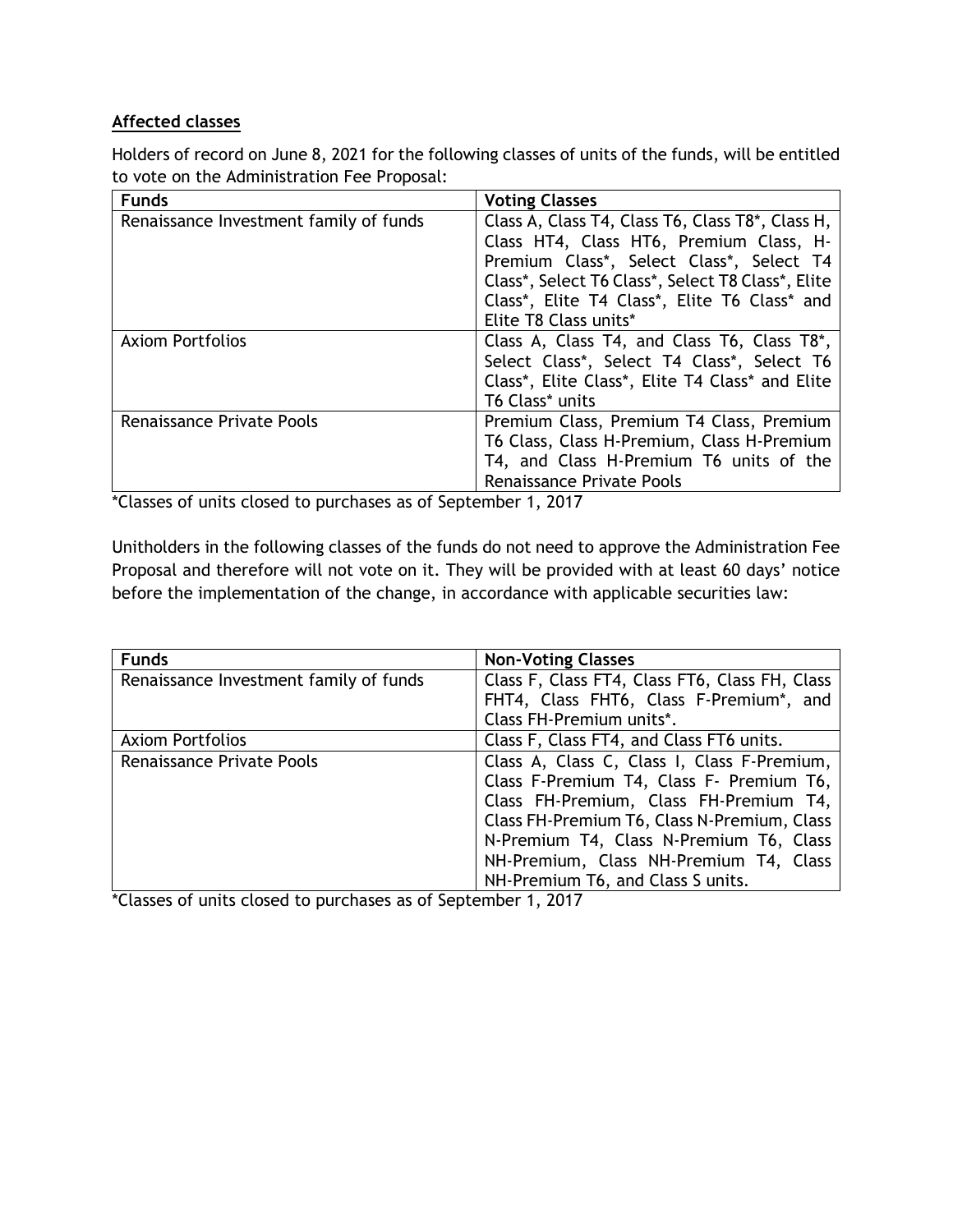## **Affected classes**

Holders of record on June 8, 2021 for the following classes of units of the funds, will be entitled to vote on the Administration Fee Proposal:

| <b>Funds</b>                           | <b>Voting Classes</b>                                    |
|----------------------------------------|----------------------------------------------------------|
| Renaissance Investment family of funds | Class A, Class T4, Class T6, Class T8*, Class H,         |
|                                        | Class HT4, Class HT6, Premium Class, H-                  |
|                                        | Premium Class*, Select Class*, Select T4                 |
|                                        | Class*, Select T6 Class*, Select T8 Class*, Elite        |
|                                        | Class*, Elite T4 Class*, Elite T6 Class* and             |
|                                        | Elite T8 Class units*                                    |
| <b>Axiom Portfolios</b>                | Class A, Class T4, and Class T6, Class T8 <sup>*</sup> , |
|                                        | Select Class*, Select T4 Class*, Select T6               |
|                                        | Class*, Elite Class*, Elite T4 Class* and Elite          |
|                                        | <b>T6 Class* units</b>                                   |
| <b>Renaissance Private Pools</b>       | Premium Class, Premium T4 Class, Premium                 |
|                                        | T6 Class, Class H-Premium, Class H-Premium               |
|                                        | T4, and Class H-Premium T6 units of the                  |
|                                        | <b>Renaissance Private Pools</b>                         |

\*Classes of units closed to purchases as of September 1, 2017

Unitholders in the following classes of the funds do not need to approve the Administration Fee Proposal and therefore will not vote on it. They will be provided with at least 60 days' notice before the implementation of the change, in accordance with applicable securities law:

| <b>Funds</b>                           | <b>Non-Voting Classes</b>                      |
|----------------------------------------|------------------------------------------------|
| Renaissance Investment family of funds | Class F, Class FT4, Class FT6, Class FH, Class |
|                                        | FHT4, Class FHT6, Class F-Premium*, and        |
|                                        | Class FH-Premium units*.                       |
| <b>Axiom Portfolios</b>                | Class F, Class FT4, and Class FT6 units.       |
| <b>Renaissance Private Pools</b>       | Class A, Class C, Class I, Class F-Premium,    |
|                                        | Class F-Premium T4, Class F- Premium T6,       |
|                                        | Class FH-Premium, Class FH-Premium T4,         |
|                                        | Class FH-Premium T6, Class N-Premium, Class    |
|                                        | N-Premium T4, Class N-Premium T6, Class        |
|                                        | NH-Premium, Class NH-Premium T4, Class         |
|                                        | NH-Premium T6, and Class S units.              |

\*Classes of units closed to purchases as of September 1, 2017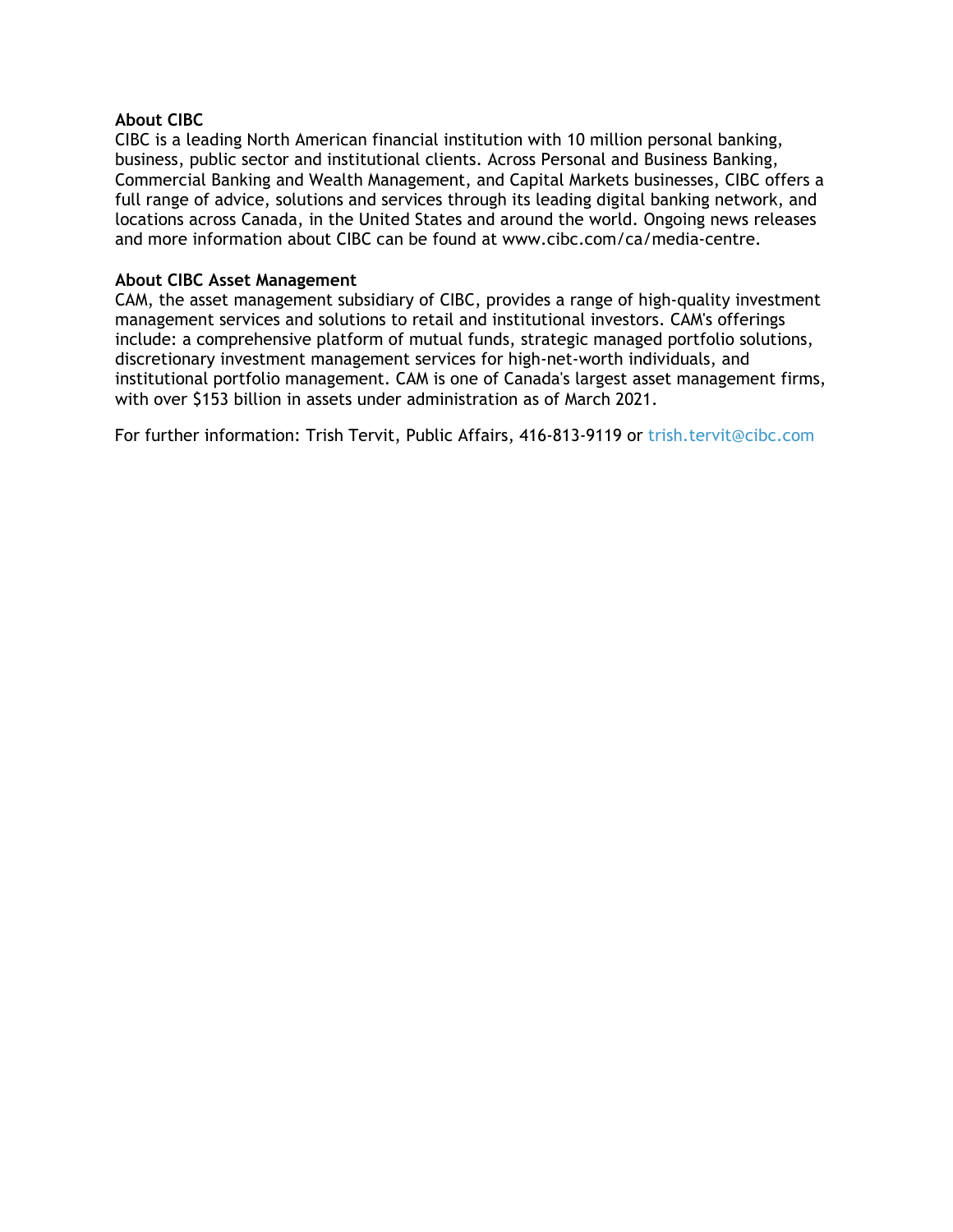#### **About CIBC**

CIBC is a leading North American financial institution with 10 million personal banking, business, public sector and institutional clients. Across Personal and Business Banking, Commercial Banking and Wealth Management, and Capital Markets businesses, CIBC offers a full range of advice, solutions and services through its leading digital banking network, and locations across Canada, in the United States and around the world. Ongoing news releases and more information about CIBC can be found at [www.cibc.com/ca/media-centre.](https://c212.net/c/link/?t=0&l=en&o=2679805-1&h=1558623209&u=https%3A%2F%2Fwww.cibc.com%2Fen%2Fabout-cibc%2Fmedia-centre.html&a=www.cibc.com%2Fca%2Fmedia-centre)

#### **About CIBC Asset Management**

CAM, the asset management subsidiary of CIBC, provides a range of high-quality investment management services and solutions to retail and institutional investors. CAM's offerings include: a comprehensive platform of mutual funds, strategic managed portfolio solutions, discretionary investment management services for high-net-worth individuals, and institutional portfolio management. CAM is one of Canada's largest asset management firms, with over \$153 billion in assets under administration as of March 2021.

For further information: Trish Tervit, Public Affairs, 416-813-9119 or [trish.tervit@cibc.com](mailto:trish.tervit@cibc.com)